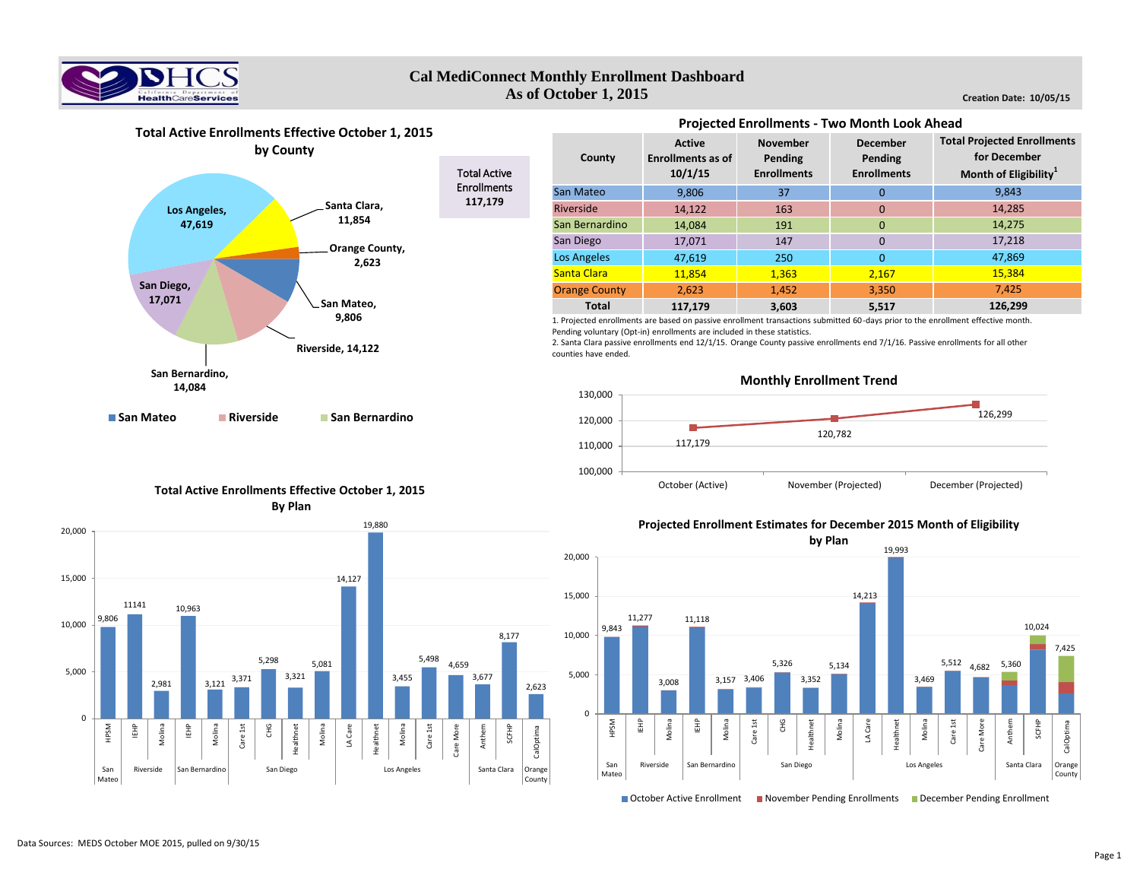

# **Cal MediConnect Monthly Enrollment Dashboard As of October 1, 2015**

**Creation Date: 10/05/15**



**Active Enrollments as of 10/1/15 November Pending Enrollments December Pending Enrollments** 9,806 37 0 14,122 163 0 14.084 191 0 17.071 147 0 47,619 250 0 11,854 1.363 2.167 **Orange County 2,623 1,452 3,350 117,179 3,603 5,517 Total Projected Enrollments for December Month of Eligibility<sup>1</sup>** 9,843 14,285 14,275 17,218 47,869 **126,299** 15,384 7,425 Los Angeles **Total County** San Mateo Riverside San Bernardino San Diego Santa Clara

**Projected Enrollments - Two Month Look Ahead** 

1. Projected enrollments are based on passive enrollment transactions submitted 60-days prior to the enrollment effective month. Pending voluntary (Opt-in) enrollments are included in these statistics.

2. Santa Clara passive enrollments end 12/1/15. Orange County passive enrollments end 7/1/16. Passive enrollments for all other counties have ended.



# **Total Active Enrollments Effective October 1, 2015 By Plan**



**Projected Enrollment Estimates for December 2015 Month of Eligibility**